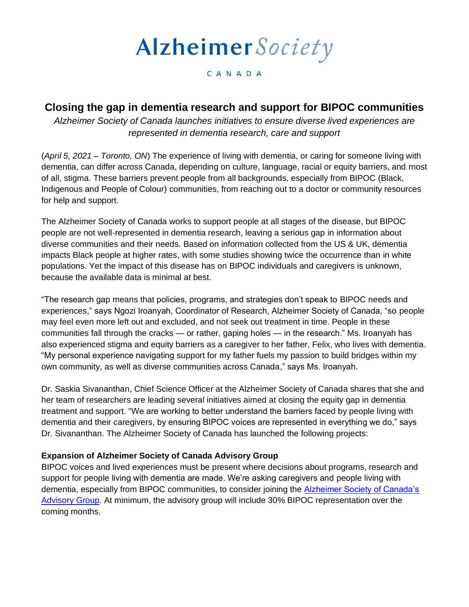# AlzheimerSociety

#### CANADA

## **Closing the gap in dementia research and support for BIPOC communities**

*Alzheimer Society of Canada launches initiatives to ensure diverse lived experiences are represented in dementia research, care and support* 

(*April 5, 2021 – Toronto, ON*) The experience of living with dementia, or caring for someone living with dementia, can differ across Canada, depending on culture, language, racial or equity barriers, and most of all, stigma. These barriers prevent people from all backgrounds, especially from BIPOC (Black, Indigenous and People of Colour) communities, from reaching out to a doctor or community resources for help and support.

The Alzheimer Society of Canada works to support people at all stages of the disease, but BIPOC people are not well-represented in dementia research, leaving a serious gap in information about diverse communities and their needs. Based on information collected from the US & UK, dementia impacts Black people at higher rates, with some studies showing twice the occurrence than in white populations. Yet the impact of this disease has on BIPOC individuals and caregivers is unknown, because the available data is minimal at best.

"The research gap means that policies, programs, and strategies don't speak to BIPOC needs and experiences," says Ngozi Iroanyah, Coordinator of Research, Alzheimer Society of Canada, "so people may feel even more left out and excluded, and not seek out treatment in time. People in these communities fall through the cracks — or rather, gaping holes — in the research." Ms. Iroanyah has also experienced stigma and equity barriers as a caregiver to her father, Felix, who lives with dementia. "My personal experience navigating support for my father fuels my passion to build bridges within my own community, as well as diverse communities across Canada," says Ms. Iroanyah.

Dr. Saskia Sivananthan, Chief Science Officer at the Alzheimer Society of Canada shares that she and her team of researchers are leading several initiatives aimed at closing the equity gap in dementia treatment and support. "We are working to better understand the barriers faced by people living with dementia and their caregivers, by ensuring BIPOC voices are represented in everything we do," says Dr. Sivananthan. The Alzheimer Society of Canada has launched the following projects:

### **Expansion of Alzheimer Society of Canada Advisory Group**

BIPOC voices and lived experiences must be present where decisions about programs, research and support for people living with dementia are made. We're asking caregivers and people living with dementia, especially from BIPOC communities, to consider joining the [Alzheimer Society of Canada's](https://alzheimer.ca/en/take-action/change-minds/advisory-group-people-living-dementia)  [Advisory Group.](https://alzheimer.ca/en/take-action/change-minds/advisory-group-people-living-dementia) At minimum, the advisory group will include 30% BIPOC representation over the coming months.